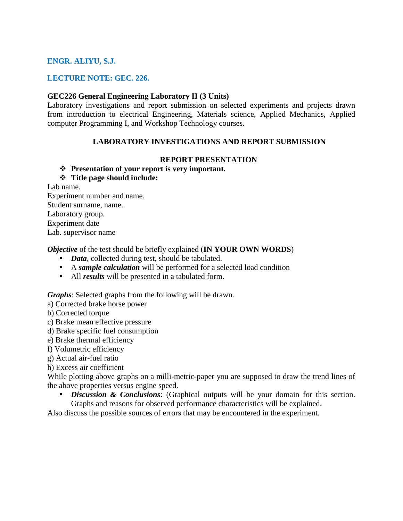## **ENGR. ALIYU, S.J.**

#### **LECTURE NOTE: GEC. 226.**

#### **GEC226 General Engineering Laboratory II (3 Units)**

Laboratory investigations and report submission on selected experiments and projects drawn from introduction to electrical Engineering, Materials science, Applied Mechanics, Applied computer Programming I, and Workshop Technology courses.

#### **LABORATORY INVESTIGATIONS AND REPORT SUBMISSION**

#### **REPORT PRESENTATION**

### **Presentation of your report is very important.**

### **Title page should include:**

Lab name.

Experiment number and name. Student surname, name. Laboratory group. Experiment date Lab. supervisor name

*Objective* of the test should be briefly explained (**IN YOUR OWN WORDS**)

- *Data*, collected during test, should be tabulated.
- A *sample calculation* will be performed for a selected load condition
- All *results* will be presented in a tabulated form.

*Graphs*: Selected graphs from the following will be drawn.

a) Corrected brake horse power

b) Corrected torque

- c) Brake mean effective pressure
- d) Brake specific fuel consumption

e) Brake thermal efficiency

f) Volumetric efficiency

g) Actual air-fuel ratio

h) Excess air coefficient

While plotting above graphs on a milli-metric-paper you are supposed to draw the trend lines of the above properties versus engine speed.

*Discussion & Conclusions:* (Graphical outputs will be your domain for this section. Graphs and reasons for observed performance characteristics will be explained.

Also discuss the possible sources of errors that may be encountered in the experiment.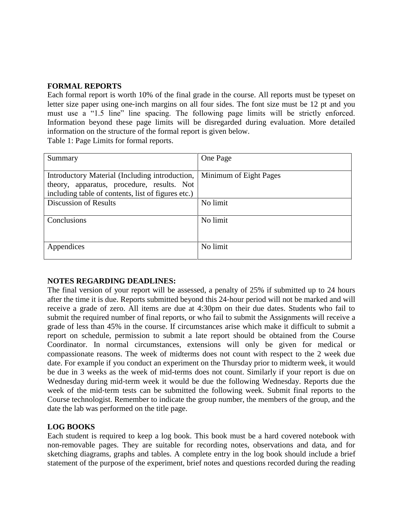#### **FORMAL REPORTS**

Each formal report is worth 10% of the final grade in the course. All reports must be typeset on letter size paper using one‐inch margins on all four sides. The font size must be 12 pt and you must use a "1.5 line" line spacing. The following page limits will be strictly enforced. Information beyond these page limits will be disregarded during evaluation. More detailed information on the structure of the formal report is given below.

Table 1: Page Limits for formal reports.

| Summary                                            | One Page               |
|----------------------------------------------------|------------------------|
|                                                    |                        |
| Introductory Material (Including introduction,     | Minimum of Eight Pages |
| theory, apparatus, procedure, results. Not         |                        |
| including table of contents, list of figures etc.) |                        |
| <b>Discussion of Results</b>                       | No limit               |
|                                                    |                        |
| Conclusions                                        | No limit               |
|                                                    |                        |
|                                                    |                        |
| Appendices                                         | No limit               |
|                                                    |                        |

## **NOTES REGARDING DEADLINES:**

The final version of your report will be assessed, a penalty of 25% if submitted up to 24 hours after the time it is due. Reports submitted beyond this 24‐hour period will not be marked and will receive a grade of zero. All items are due at 4:30pm on their due dates. Students who fail to submit the required number of final reports, or who fail to submit the Assignments will receive a grade of less than 45% in the course. If circumstances arise which make it difficult to submit a report on schedule, permission to submit a late report should be obtained from the Course Coordinator. In normal circumstances, extensions will only be given for medical or compassionate reasons. The week of midterms does not count with respect to the 2 week due date. For example if you conduct an experiment on the Thursday prior to midterm week, it would be due in 3 weeks as the week of mid-terms does not count. Similarly if your report is due on Wednesday during mid-term week it would be due the following Wednesday. Reports due the week of the mid-term tests can be submitted the following week. Submit final reports to the Course technologist. Remember to indicate the group number, the members of the group, and the date the lab was performed on the title page.

## **LOG BOOKS**

Each student is required to keep a log book. This book must be a hard covered notebook with non-removable pages. They are suitable for recording notes, observations and data, and for sketching diagrams, graphs and tables. A complete entry in the log book should include a brief statement of the purpose of the experiment, brief notes and questions recorded during the reading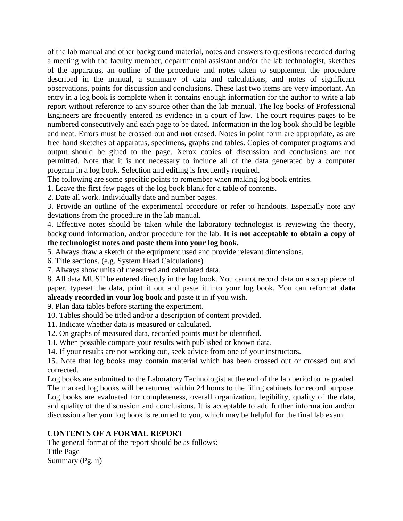of the lab manual and other background material, notes and answers to questions recorded during a meeting with the faculty member, departmental assistant and/or the lab technologist, sketches of the apparatus, an outline of the procedure and notes taken to supplement the procedure described in the manual, a summary of data and calculations, and notes of significant observations, points for discussion and conclusions. These last two items are very important. An entry in a log book is complete when it contains enough information for the author to write a lab report without reference to any source other than the lab manual. The log books of Professional Engineers are frequently entered as evidence in a court of law. The court requires pages to be numbered consecutively and each page to be dated. Information in the log book should be legible and neat. Errors must be crossed out and **not** erased. Notes in point form are appropriate, as are free-hand sketches of apparatus, specimens, graphs and tables. Copies of computer programs and output should be glued to the page. Xerox copies of discussion and conclusions are not permitted. Note that it is not necessary to include all of the data generated by a computer program in a log book. Selection and editing is frequently required.

The following are some specific points to remember when making log book entries.

1. Leave the first few pages of the log book blank for a table of contents.

2. Date all work. Individually date and number pages.

3. Provide an outline of the experimental procedure or refer to handouts. Especially note any deviations from the procedure in the lab manual.

4. Effective notes should be taken while the laboratory technologist is reviewing the theory, background information, and/or procedure for the lab. **It is not acceptable to obtain a copy of the technologist notes and paste them into your log book.**

5. Always draw a sketch of the equipment used and provide relevant dimensions.

6. Title sections. (e.g. System Head Calculations)

7. Always show units of measured and calculated data.

8. All data MUST be entered directly in the log book. You cannot record data on a scrap piece of paper, typeset the data, print it out and paste it into your log book. You can reformat **data already recorded in your log book** and paste it in if you wish.

9. Plan data tables before starting the experiment.

10. Tables should be titled and/or a description of content provided.

- 11. Indicate whether data is measured or calculated.
- 12. On graphs of measured data, recorded points must be identified.
- 13. When possible compare your results with published or known data.
- 14. If your results are not working out, seek advice from one of your instructors.

15. Note that log books may contain material which has been crossed out or crossed out and corrected.

Log books are submitted to the Laboratory Technologist at the end of the lab period to be graded. The marked log books will be returned within 24 hours to the filing cabinets for record purpose. Log books are evaluated for completeness, overall organization, legibility, quality of the data, and quality of the discussion and conclusions. It is acceptable to add further information and/or discussion after your log book is returned to you, which may be helpful for the final lab exam.

#### **CONTENTS OF A FORMAL REPORT**

The general format of the report should be as follows: Title Page Summary (Pg. ii)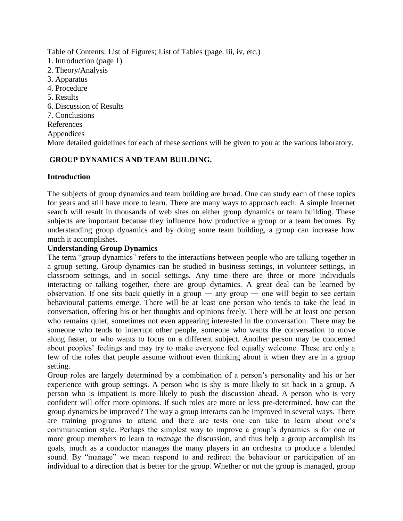Table of Contents: List of Figures; List of Tables (page. iii, iv, etc.)

- 1. Introduction (page 1)
- 2. Theory/Analysis
- 3. Apparatus
- 4. Procedure
- 5. Results
- 6. Discussion of Results
- 7. Conclusions
- References
- Appendices

More detailed guidelines for each of these sections will be given to you at the various laboratory.

# **GROUP DYNAMICS AND TEAM BUILDING.**

# **Introduction**

The subjects of group dynamics and team building are broad. One can study each of these topics for years and still have more to learn. There are many ways to approach each. A simple Internet search will result in thousands of web sites on either group dynamics or team building. These subjects are important because they influence how productive a group or a team becomes. By understanding group dynamics and by doing some team building, a group can increase how much it accomplishes.

## **Understanding Group Dynamics**

The term "group dynamics" refers to the interactions between people who are talking together in a group setting. Group dynamics can be studied in business settings, in volunteer settings, in classroom settings, and in social settings. Any time there are three or more individuals interacting or talking together, there are group dynamics. A great deal can be learned by observation. If one sits back quietly in a group ― any group ― one will begin to see certain behavioural patterns emerge. There will be at least one person who tends to take the lead in conversation, offering his or her thoughts and opinions freely. There will be at least one person who remains quiet, sometimes not even appearing interested in the conversation. There may be someone who tends to interrupt other people, someone who wants the conversation to move along faster, or who wants to focus on a different subject. Another person may be concerned about peoples' feelings and may try to make everyone feel equally welcome. These are only a few of the roles that people assume without even thinking about it when they are in a group setting.

Group roles are largely determined by a combination of a person's personality and his or her experience with group settings. A person who is shy is more likely to sit back in a group. A person who is impatient is more likely to push the discussion ahead. A person who is very confident will offer more opinions. If such roles are more or less pre-determined, how can the group dynamics be improved? The way a group interacts can be improved in several ways. There are training programs to attend and there are tests one can take to learn about one's communication style. Perhaps the simplest way to improve a group's dynamics is for one or more group members to learn to *manage* the discussion, and thus help a group accomplish its goals, much as a conductor manages the many players in an orchestra to produce a blended sound. By "manage" we mean respond to and redirect the behaviour or participation of an individual to a direction that is better for the group. Whether or not the group is managed, group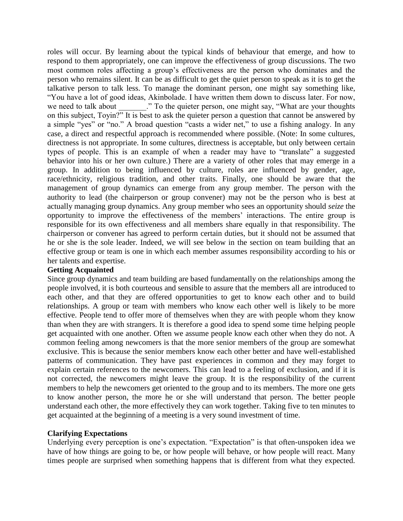roles will occur. By learning about the typical kinds of behaviour that emerge, and how to respond to them appropriately, one can improve the effectiveness of group discussions. The two most common roles affecting a group's effectiveness are the person who dominates and the person who remains silent. It can be as difficult to get the quiet person to speak as it is to get the talkative person to talk less. To manage the dominant person, one might say something like, "You have a lot of good ideas, Akinbolade. I have written them down to discuss later. For now, we need to talk about  $\therefore$  " To the quieter person, one might say, "What are your thoughts" on this subject, Toyin?" It is best to ask the quieter person a question that cannot be answered by a simple "yes" or "no." A broad question "casts a wider net," to use a fishing analogy. In any case, a direct and respectful approach is recommended where possible. (Note: In some cultures, directness is not appropriate. In some cultures, directness is acceptable, but only between certain types of people. This is an example of when a reader may have to "translate" a suggested behavior into his or her own culture.) There are a variety of other roles that may emerge in a group. In addition to being influenced by culture, roles are influenced by gender, age, race/ethnicity, religious tradition, and other traits. Finally, one should be aware that the management of group dynamics can emerge from any group member. The person with the authority to lead (the chairperson or group convener) may not be the person who is best at actually managing group dynamics. Any group member who sees an opportunity should *seize* the opportunity to improve the effectiveness of the members' interactions. The entire group is responsible for its own effectiveness and all members share equally in that responsibility. The chairperson or convener has agreed to perform certain duties, but it should not be assumed that he or she is the sole leader. Indeed, we will see below in the section on team building that an effective group or team is one in which each member assumes responsibility according to his or her talents and expertise.

#### **Getting Acquainted**

Since group dynamics and team building are based fundamentally on the relationships among the people involved, it is both courteous and sensible to assure that the members all are introduced to each other, and that they are offered opportunities to get to know each other and to build relationships. A group or team with members who know each other well is likely to be more effective. People tend to offer more of themselves when they are with people whom they know than when they are with strangers. It is therefore a good idea to spend some time helping people get acquainted with one another. Often we assume people know each other when they do not. A common feeling among newcomers is that the more senior members of the group are somewhat exclusive. This is because the senior members know each other better and have well-established patterns of communication. They have past experiences in common and they may forget to explain certain references to the newcomers. This can lead to a feeling of exclusion, and if it is not corrected, the newcomers might leave the group. It is the responsibility of the current members to help the newcomers get oriented to the group and to its members. The more one gets to know another person, the more he or she will understand that person. The better people understand each other, the more effectively they can work together. Taking five to ten minutes to get acquainted at the beginning of a meeting is a very sound investment of time.

#### **Clarifying Expectations**

Underlying every perception is one's expectation. "Expectation" is that often-unspoken idea we have of how things are going to be, or how people will behave, or how people will react. Many times people are surprised when something happens that is different from what they expected.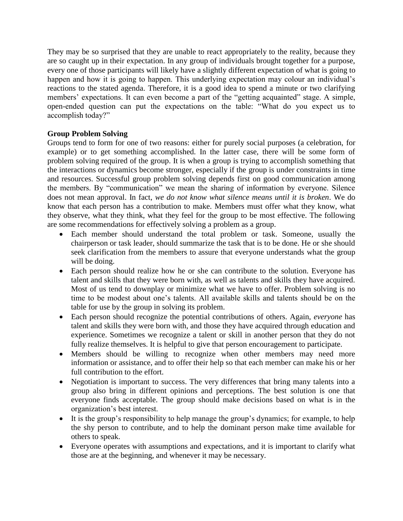They may be so surprised that they are unable to react appropriately to the reality, because they are so caught up in their expectation. In any group of individuals brought together for a purpose, every one of those participants will likely have a slightly different expectation of what is going to happen and how it is going to happen. This underlying expectation may colour an individual's reactions to the stated agenda. Therefore, it is a good idea to spend a minute or two clarifying members' expectations. It can even become a part of the "getting acquainted" stage. A simple, open-ended question can put the expectations on the table: "What do you expect us to accomplish today?"

# **Group Problem Solving**

Groups tend to form for one of two reasons: either for purely social purposes (a celebration, for example) or to get something accomplished. In the latter case, there will be some form of problem solving required of the group. It is when a group is trying to accomplish something that the interactions or dynamics become stronger, especially if the group is under constraints in time and resources. Successful group problem solving depends first on good communication among the members. By "communication" we mean the sharing of information by everyone. Silence does not mean approval. In fact, *we do not know what silence means until it is broken*. We do know that each person has a contribution to make. Members must offer what they know, what they observe, what they think, what they feel for the group to be most effective. The following are some recommendations for effectively solving a problem as a group.

- Each member should understand the total problem or task. Someone, usually the chairperson or task leader, should summarize the task that is to be done. He or she should seek clarification from the members to assure that everyone understands what the group will be doing.
- Each person should realize how he or she can contribute to the solution. Everyone has talent and skills that they were born with, as well as talents and skills they have acquired. Most of us tend to downplay or minimize what we have to offer. Problem solving is no time to be modest about one's talents. All available skills and talents should be on the table for use by the group in solving its problem.
- Each person should recognize the potential contributions of others. Again, *everyone* has talent and skills they were born with, and those they have acquired through education and experience. Sometimes we recognize a talent or skill in another person that they do not fully realize themselves. It is helpful to give that person encouragement to participate.
- Members should be willing to recognize when other members may need more information or assistance, and to offer their help so that each member can make his or her full contribution to the effort.
- Negotiation is important to success. The very differences that bring many talents into a group also bring in different opinions and perceptions. The best solution is one that everyone finds acceptable. The group should make decisions based on what is in the organization's best interest.
- It is the group's responsibility to help manage the group's dynamics; for example, to help the shy person to contribute, and to help the dominant person make time available for others to speak.
- Everyone operates with assumptions and expectations, and it is important to clarify what those are at the beginning, and whenever it may be necessary.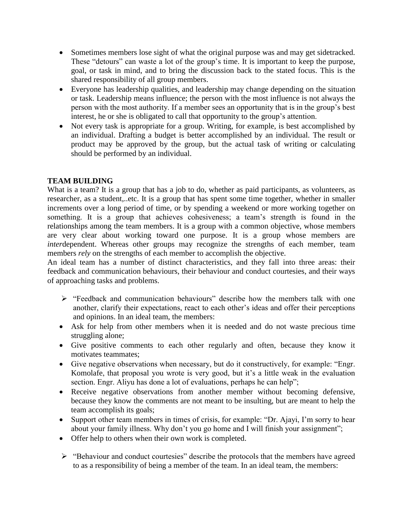- Sometimes members lose sight of what the original purpose was and may get sidetracked. These "detours" can waste a lot of the group's time. It is important to keep the purpose, goal, or task in mind, and to bring the discussion back to the stated focus. This is the shared responsibility of all group members.
- Everyone has leadership qualities, and leadership may change depending on the situation or task. Leadership means influence; the person with the most influence is not always the person with the most authority. If a member sees an opportunity that is in the group's best interest, he or she is obligated to call that opportunity to the group's attention.
- Not every task is appropriate for a group. Writing, for example, is best accomplished by an individual. Drafting a budget is better accomplished by an individual. The result or product may be approved by the group, but the actual task of writing or calculating should be performed by an individual.

## **TEAM BUILDING**

What is a team? It is a group that has a job to do, whether as paid participants, as volunteers, as researcher, as a student,..etc. It is a group that has spent some time together, whether in smaller increments over a long period of time, or by spending a weekend or more working together on something. It is a group that achieves cohesiveness; a team's strength is found in the relationships among the team members. It is a group with a common objective, whose members are very clear about working toward one purpose. It is a group whose members are *inter*dependent. Whereas other groups may recognize the strengths of each member, team members *rely* on the strengths of each member to accomplish the objective.

An ideal team has a number of distinct characteristics, and they fall into three areas: their feedback and communication behaviours, their behaviour and conduct courtesies, and their ways of approaching tasks and problems.

- $\triangleright$  "Feedback and communication behaviours" describe how the members talk with one another, clarify their expectations, react to each other's ideas and offer their perceptions and opinions. In an ideal team, the members:
- Ask for help from other members when it is needed and do not waste precious time struggling alone;
- Give positive comments to each other regularly and often, because they know it motivates teammates;
- Give negative observations when necessary, but do it constructively, for example: "Engr. Komolafe, that proposal you wrote is very good, but it's a little weak in the evaluation section. Engr. Aliyu has done a lot of evaluations, perhaps he can help";
- Receive negative observations from another member without becoming defensive, because they know the comments are not meant to be insulting, but are meant to help the team accomplish its goals;
- Support other team members in times of crisis, for example: "Dr. Ajayi, I'm sorry to hear about your family illness. Why don't you go home and I will finish your assignment";
- Offer help to others when their own work is completed.
- $\triangleright$  "Behaviour and conduct courtesies" describe the protocols that the members have agreed to as a responsibility of being a member of the team. In an ideal team, the members: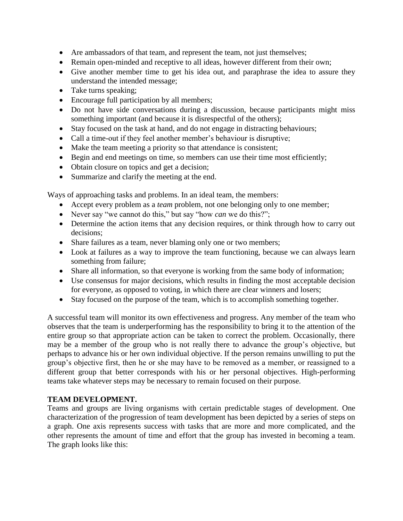- Are ambassadors of that team, and represent the team, not just themselves;
- Remain open-minded and receptive to all ideas, however different from their own;
- Give another member time to get his idea out, and paraphrase the idea to assure they understand the intended message;
- Take turns speaking;
- Encourage full participation by all members;
- Do not have side conversations during a discussion, because participants might miss something important (and because it is disrespectful of the others);
- Stay focused on the task at hand, and do not engage in distracting behaviours;
- Call a time-out if they feel another member's behaviour is disruptive;
- Make the team meeting a priority so that attendance is consistent;
- Begin and end meetings on time, so members can use their time most efficiently;
- Obtain closure on topics and get a decision;
- Summarize and clarify the meeting at the end.

Ways of approaching tasks and problems. In an ideal team, the members:

- Accept every problem as a *team* problem, not one belonging only to one member;
- Never say "we cannot do this," but say "how *can* we do this?";
- Determine the action items that any decision requires, or think through how to carry out decisions;
- Share failures as a team, never blaming only one or two members;
- Look at failures as a way to improve the team functioning, because we can always learn something from failure;
- Share all information, so that everyone is working from the same body of information;
- Use consensus for major decisions, which results in finding the most acceptable decision for everyone, as opposed to voting, in which there are clear winners and losers;
- Stay focused on the purpose of the team, which is to accomplish something together.

A successful team will monitor its own effectiveness and progress. Any member of the team who observes that the team is underperforming has the responsibility to bring it to the attention of the entire group so that appropriate action can be taken to correct the problem. Occasionally, there may be a member of the group who is not really there to advance the group's objective, but perhaps to advance his or her own individual objective. If the person remains unwilling to put the group's objective first, then he or she may have to be removed as a member, or reassigned to a different group that better corresponds with his or her personal objectives. High-performing teams take whatever steps may be necessary to remain focused on their purpose.

#### **TEAM DEVELOPMENT.**

Teams and groups are living organisms with certain predictable stages of development. One characterization of the progression of team development has been depicted by a series of steps on a graph. One axis represents success with tasks that are more and more complicated, and the other represents the amount of time and effort that the group has invested in becoming a team. The graph looks like this: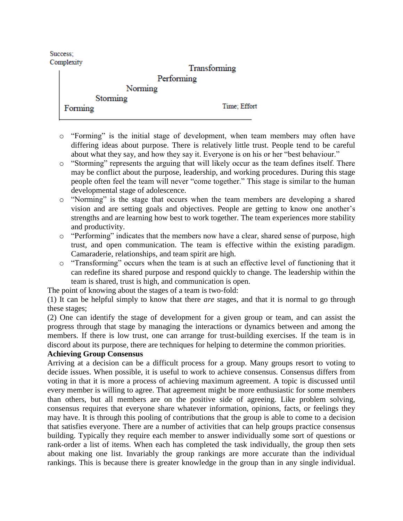Success: Complexity

|         | Transforming |  |
|---------|--------------|--|
|         | Performing   |  |
|         | Norming      |  |
|         | Storming     |  |
| Forming | Time; Effort |  |

- o "Forming" is the initial stage of development, when team members may often have differing ideas about purpose. There is relatively little trust. People tend to be careful about what they say, and how they say it. Everyone is on his or her "best behaviour."
- o "Storming" represents the arguing that will likely occur as the team defines itself. There may be conflict about the purpose, leadership, and working procedures. During this stage people often feel the team will never "come together." This stage is similar to the human developmental stage of adolescence.
- o "Norming" is the stage that occurs when the team members are developing a shared vision and are setting goals and objectives. People are getting to know one another's strengths and are learning how best to work together. The team experiences more stability and productivity.
- o "Performing" indicates that the members now have a clear, shared sense of purpose, high trust, and open communication. The team is effective within the existing paradigm. Camaraderie, relationships, and team spirit are high.
- o "Transforming" occurs when the team is at such an effective level of functioning that it can redefine its shared purpose and respond quickly to change. The leadership within the team is shared, trust is high, and communication is open.

The point of knowing about the stages of a team is two-fold:

(1) It can be helpful simply to know that there *are* stages, and that it is normal to go through these stages;

(2) One can identify the stage of development for a given group or team, and can assist the progress through that stage by managing the interactions or dynamics between and among the members. If there is low trust, one can arrange for trust-building exercises. If the team is in discord about its purpose, there are techniques for helping to determine the common priorities.

## **Achieving Group Consensus**

Arriving at a decision can be a difficult process for a group. Many groups resort to voting to decide issues. When possible, it is useful to work to achieve consensus. Consensus differs from voting in that it is more a process of achieving maximum agreement. A topic is discussed until every member is willing to agree. That agreement might be more enthusiastic for some members than others, but all members are on the positive side of agreeing. Like problem solving, consensus requires that everyone share whatever information, opinions, facts, or feelings they may have. It is through this pooling of contributions that the group is able to come to a decision that satisfies everyone. There are a number of activities that can help groups practice consensus building. Typically they require each member to answer individually some sort of questions or rank-order a list of items. When each has completed the task individually, the group then sets about making one list. Invariably the group rankings are more accurate than the individual rankings. This is because there is greater knowledge in the group than in any single individual.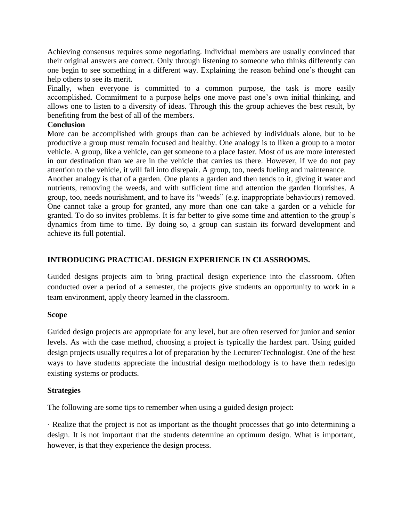Achieving consensus requires some negotiating. Individual members are usually convinced that their original answers are correct. Only through listening to someone who thinks differently can one begin to see something in a different way. Explaining the reason behind one's thought can help others to see its merit.

Finally, when everyone is committed to a common purpose, the task is more easily accomplished. Commitment to a purpose helps one move past one's own initial thinking, and allows one to listen to a diversity of ideas. Through this the group achieves the best result, by benefiting from the best of all of the members.

### **Conclusion**

More can be accomplished with groups than can be achieved by individuals alone, but to be productive a group must remain focused and healthy. One analogy is to liken a group to a motor vehicle. A group, like a vehicle, can get someone to a place faster. Most of us are more interested in our destination than we are in the vehicle that carries us there. However, if we do not pay attention to the vehicle, it will fall into disrepair. A group, too, needs fueling and maintenance.

Another analogy is that of a garden. One plants a garden and then tends to it, giving it water and nutrients, removing the weeds, and with sufficient time and attention the garden flourishes. A group, too, needs nourishment, and to have its "weeds" (e.g. inappropriate behaviours) removed. One cannot take a group for granted, any more than one can take a garden or a vehicle for granted. To do so invites problems. It is far better to give some time and attention to the group's dynamics from time to time. By doing so, a group can sustain its forward development and achieve its full potential.

### **INTRODUCING PRACTICAL DESIGN EXPERIENCE IN CLASSROOMS.**

Guided designs projects aim to bring practical design experience into the classroom. Often conducted over a period of a semester, the projects give students an opportunity to work in a team environment, apply theory learned in the classroom.

#### **Scope**

Guided design projects are appropriate for any level, but are often reserved for junior and senior levels. As with the case method, choosing a project is typically the hardest part. Using guided design projects usually requires a lot of preparation by the Lecturer/Technologist. One of the best ways to have students appreciate the industrial design methodology is to have them redesign existing systems or products.

## **Strategies**

The following are some tips to remember when using a guided design project:

· Realize that the project is not as important as the thought processes that go into determining a design. It is not important that the students determine an optimum design. What is important, however, is that they experience the design process.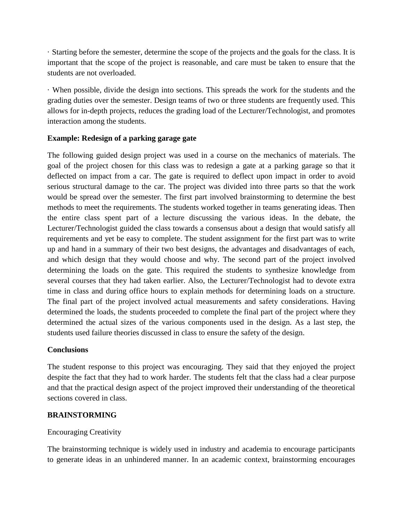· Starting before the semester, determine the scope of the projects and the goals for the class. It is important that the scope of the project is reasonable, and care must be taken to ensure that the students are not overloaded.

· When possible, divide the design into sections. This spreads the work for the students and the grading duties over the semester. Design teams of two or three students are frequently used. This allows for in-depth projects, reduces the grading load of the Lecturer/Technologist, and promotes interaction among the students.

### **Example: Redesign of a parking garage gate**

The following guided design project was used in a course on the mechanics of materials. The goal of the project chosen for this class was to redesign a gate at a parking garage so that it deflected on impact from a car. The gate is required to deflect upon impact in order to avoid serious structural damage to the car. The project was divided into three parts so that the work would be spread over the semester. The first part involved brainstorming to determine the best methods to meet the requirements. The students worked together in teams generating ideas. Then the entire class spent part of a lecture discussing the various ideas. In the debate, the Lecturer/Technologist guided the class towards a consensus about a design that would satisfy all requirements and yet be easy to complete. The student assignment for the first part was to write up and hand in a summary of their two best designs, the advantages and disadvantages of each, and which design that they would choose and why. The second part of the project involved determining the loads on the gate. This required the students to synthesize knowledge from several courses that they had taken earlier. Also, the Lecturer/Technologist had to devote extra time in class and during office hours to explain methods for determining loads on a structure. The final part of the project involved actual measurements and safety considerations. Having determined the loads, the students proceeded to complete the final part of the project where they determined the actual sizes of the various components used in the design. As a last step, the students used failure theories discussed in class to ensure the safety of the design.

#### **Conclusions**

The student response to this project was encouraging. They said that they enjoyed the project despite the fact that they had to work harder. The students felt that the class had a clear purpose and that the practical design aspect of the project improved their understanding of the theoretical sections covered in class.

## **BRAINSTORMING**

## Encouraging Creativity

The brainstorming technique is widely used in industry and academia to encourage participants to generate ideas in an unhindered manner. In an academic context, brainstorming encourages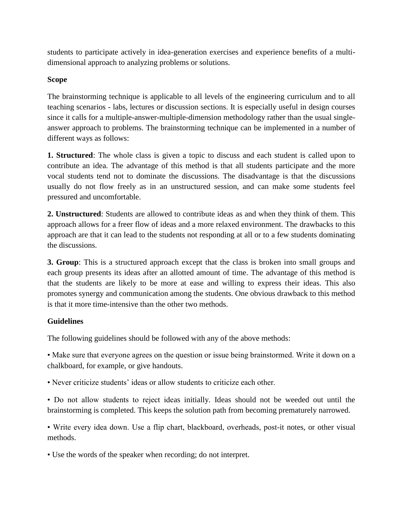students to participate actively in idea-generation exercises and experience benefits of a multidimensional approach to analyzing problems or solutions.

# **Scope**

The brainstorming technique is applicable to all levels of the engineering curriculum and to all teaching scenarios - labs, lectures or discussion sections. It is especially useful in design courses since it calls for a multiple-answer-multiple-dimension methodology rather than the usual singleanswer approach to problems. The brainstorming technique can be implemented in a number of different ways as follows:

**1. Structured**: The whole class is given a topic to discuss and each student is called upon to contribute an idea. The advantage of this method is that all students participate and the more vocal students tend not to dominate the discussions. The disadvantage is that the discussions usually do not flow freely as in an unstructured session, and can make some students feel pressured and uncomfortable.

**2. Unstructured**: Students are allowed to contribute ideas as and when they think of them. This approach allows for a freer flow of ideas and a more relaxed environment. The drawbacks to this approach are that it can lead to the students not responding at all or to a few students dominating the discussions.

**3. Group**: This is a structured approach except that the class is broken into small groups and each group presents its ideas after an allotted amount of time. The advantage of this method is that the students are likely to be more at ease and willing to express their ideas. This also promotes synergy and communication among the students. One obvious drawback to this method is that it more time-intensive than the other two methods.

# **Guidelines**

The following guidelines should be followed with any of the above methods:

• Make sure that everyone agrees on the question or issue being brainstormed. Write it down on a chalkboard, for example, or give handouts.

• Never criticize students' ideas or allow students to criticize each other.

• Do not allow students to reject ideas initially. Ideas should not be weeded out until the brainstorming is completed. This keeps the solution path from becoming prematurely narrowed.

• Write every idea down. Use a flip chart, blackboard, overheads, post-it notes, or other visual methods.

• Use the words of the speaker when recording; do not interpret.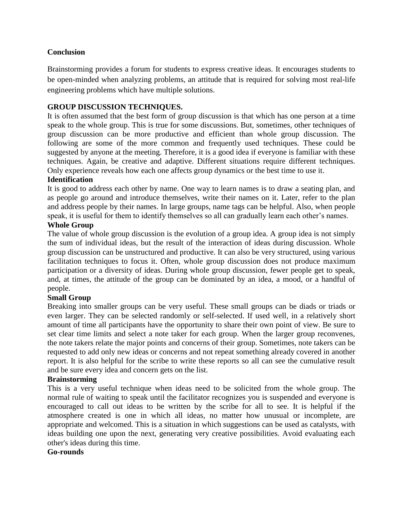## **Conclusion**

Brainstorming provides a forum for students to express creative ideas. It encourages students to be open-minded when analyzing problems, an attitude that is required for solving most real-life engineering problems which have multiple solutions.

### **GROUP DISCUSSION TECHNIQUES.**

It is often assumed that the best form of group discussion is that which has one person at a time speak to the whole group. This is true for some discussions. But, sometimes, other techniques of group discussion can be more productive and efficient than whole group discussion. The following are some of the more common and frequently used techniques. These could be suggested by anyone at the meeting. Therefore, it is a good idea if everyone is familiar with these techniques. Again, be creative and adaptive. Different situations require different techniques. Only experience reveals how each one affects group dynamics or the best time to use it.

#### **Identification**

It is good to address each other by name. One way to learn names is to draw a seating plan, and as people go around and introduce themselves, write their names on it. Later, refer to the plan and address people by their names. In large groups, name tags can be helpful. Also, when people speak, it is useful for them to identify themselves so all can gradually learn each other's names.

#### **Whole Group**

The value of whole group discussion is the evolution of a group idea. A group idea is not simply the sum of individual ideas, but the result of the interaction of ideas during discussion. Whole group discussion can be unstructured and productive. It can also be very structured, using various facilitation techniques to focus it. Often, whole group discussion does not produce maximum participation or a diversity of ideas. During whole group discussion, fewer people get to speak, and, at times, the attitude of the group can be dominated by an idea, a mood, or a handful of people.

#### **Small Group**

Breaking into smaller groups can be very useful. These small groups can be diads or triads or even larger. They can be selected randomly or self-selected. If used well, in a relatively short amount of time all participants have the opportunity to share their own point of view. Be sure to set clear time limits and select a note taker for each group. When the larger group reconvenes, the note takers relate the major points and concerns of their group. Sometimes, note takers can be requested to add only new ideas or concerns and not repeat something already covered in another report. It is also helpful for the scribe to write these reports so all can see the cumulative result and be sure every idea and concern gets on the list.

#### **Brainstorming**

This is a very useful technique when ideas need to be solicited from the whole group. The normal rule of waiting to speak until the facilitator recognizes you is suspended and everyone is encouraged to call out ideas to be written by the scribe for all to see. It is helpful if the atmosphere created is one in which all ideas, no matter how unusual or incomplete, are appropriate and welcomed. This is a situation in which suggestions can be used as catalysts, with ideas building one upon the next, generating very creative possibilities. Avoid evaluating each other's ideas during this time.

#### **Go-rounds**